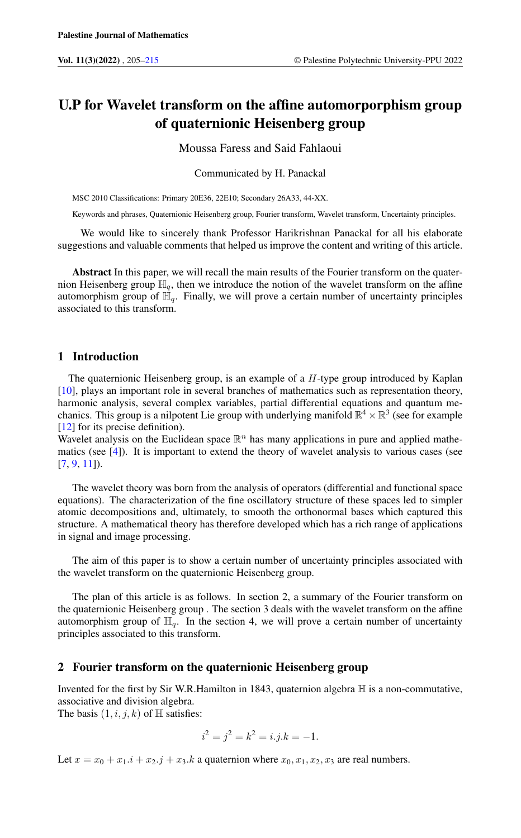# U.P for Wavelet transform on the affine automorporphism group of quaternionic Heisenberg group

Moussa Faress and Said Fahlaoui

Communicated by H. Panackal

MSC 2010 Classifications: Primary 20E36, 22E10; Secondary 26A33, 44-XX.

Keywords and phrases, Quaternionic Heisenberg group, Fourier transform, Wavelet transform, Uncertainty principles.

We would like to sincerely thank Professor Harikrishnan Panackal for all his elaborate suggestions and valuable comments that helped us improve the content and writing of this article.

Abstract In this paper, we will recall the main results of the Fourier transform on the quaternion Heisenberg group  $\mathbb{H}_q$ , then we introduce the notion of the wavelet transform on the affine automorphism group of  $\mathbb{H}_q$ . Finally, we will prove a certain number of uncertainty principles associated to this transform.

# 1 Introduction

The quaternionic Heisenberg group, is an example of a  $H$ -type group introduced by Kaplan [\[10\]](#page-9-1), plays an important role in several branches of mathematics such as representation theory, harmonic analysis, several complex variables, partial differential equations and quantum mechanics. This group is a nilpotent Lie group with underlying manifold  $\mathbb{R}^4 \times \mathbb{R}^3$  (see for example [\[12\]](#page-9-2) for its precise definition).

Wavelet analysis on the Euclidean space  $\mathbb{R}^n$  has many applications in pure and applied mathematics (see  $[4]$ ). It is important to extend the theory of wavelet analysis to various cases (see [\[7,](#page-9-4) [9,](#page-9-5) [11\]](#page-9-6)).

The wavelet theory was born from the analysis of operators (differential and functional space equations). The characterization of the fine oscillatory structure of these spaces led to simpler atomic decompositions and, ultimately, to smooth the orthonormal bases which captured this structure. A mathematical theory has therefore developed which has a rich range of applications in signal and image processing.

The aim of this paper is to show a certain number of uncertainty principles associated with the wavelet transform on the quaternionic Heisenberg group.

The plan of this article is as follows. In section 2, a summary of the Fourier transform on the quaternionic Heisenberg group . The section 3 deals with the wavelet transform on the affine automorphism group of  $\mathbb{H}_q$ . In the section 4, we will prove a certain number of uncertainty principles associated to this transform.

# 2 Fourier transform on the quaternionic Heisenberg group

Invented for the first by Sir W.R.Hamilton in 1843, quaternion algebra  $\mathbb H$  is a non-commutative, associative and division algebra.

The basis  $(1, i, j, k)$  of  $\mathbb{H}$  satisfies:

$$
i^2 = j^2 = k^2 = i.j.k = -1.
$$

Let  $x = x_0 + x_1 \cdot i + x_2 \cdot j + x_3 \cdot k$  a quaternion where  $x_0, x_1, x_2, x_3$  are real numbers.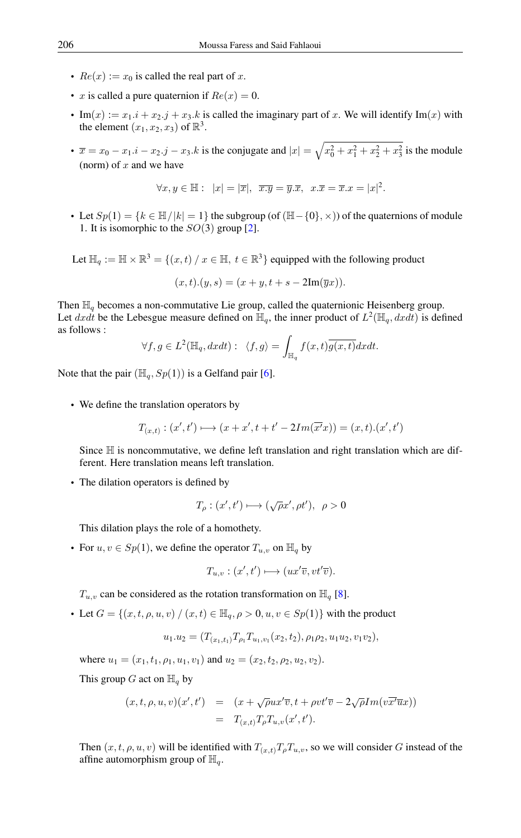- $Re(x) := x_0$  is called the real part of x.
- x is called a pure quaternion if  $Re(x) = 0$ .
- Im(x) :=  $x_1 \cdot i + x_2 \cdot j + x_3 \cdot k$  is called the imaginary part of x. We will identify Im(x) with the element  $(x_1, x_2, x_3)$  of  $\mathbb{R}^3$ .
- $\bar{x} = x_0 x_1 \cdot i x_2 \cdot j x_3 \cdot k$  is the conjugate and  $|x| = \sqrt{x_0^2 + x_1^2 + x_2^2 + x_3^2}$  is the module (norm) of  $x$  and we have

$$
\forall x, y \in \mathbb{H}: \ |x| = |\overline{x}|, \ \overline{x \cdot y} = \overline{y} \cdot \overline{x}, \ x \cdot \overline{x} = \overline{x} \cdot x = |x|^2.
$$

- Let  $Sp(1) = \{k \in \mathbb{H}/|k| = 1\}$  the subgroup (of  $(\mathbb{H}-\{0\}, \times)$ ) of the quaternions of module 1. It is isomorphic to the  $SO(3)$  group [\[2\]](#page-9-7).
- Let  $\mathbb{H}_a := \mathbb{H} \times \mathbb{R}^3 = \{(x, t) / x \in \mathbb{H}, t \in \mathbb{R}^3\}$  equipped with the following product

$$
(x,t).(y,s) = (x+y, t+s-2\mathrm{Im}(\overline{y}x)).
$$

Then  $\mathbb{H}_q$  becomes a non-commutative Lie group, called the quaternionic Heisenberg group. Let dxdt be the Lebesgue measure defined on  $\mathbb{H}_q$ , the inner product of  $L^2(\mathbb{H}_q, dxdt)$  is defined as follows :

$$
\forall f, g \in L^2(\mathbb{H}_q, dxdt): \ \langle f, g \rangle = \int_{\mathbb{H}_q} f(x,t) \overline{g(x,t)} dxdt.
$$

Note that the pair  $(\mathbb{H}_{q}, Sp(1))$  is a Gelfand pair [\[6\]](#page-9-8).

• We define the translation operators by

$$
T_{(x,t)}:(x',t')\longmapsto (x+x',t+t'-2Im(\overline{x'}x))=(x,t).(x',t')
$$

Since  $\mathbb H$  is noncommutative, we define left translation and right translation which are different. Here translation means left translation.

• The dilation operators is defined by

$$
T_{\rho} : (x', t') \longmapsto (\sqrt{\rho}x', \rho t'), \ \rho > 0
$$

This dilation plays the role of a homothety.

• For  $u, v \in Sp(1)$ , we define the operator  $T_{u,v}$  on  $\mathbb{H}_q$  by

$$
T_{u,v}: (x',t') \longmapsto (ux'\overline{v}, vt'\overline{v}).
$$

 $T_{u,v}$  can be considered as the rotation transformation on  $\mathbb{H}_q$  [\[8\]](#page-9-9).

• Let  $G = \{(x, t, \rho, u, v) \mid (x, t) \in \mathbb{H}_q, \rho > 0, u, v \in Sp(1)\}\$  with the product

$$
u_1.u_2=(T_{(x_1,t_1)}T_{\rho_1}T_{u_1,v_1}(x_2,t_2),\rho_1\rho_2,u_1u_2,v_1v_2),
$$

where  $u_1 = (x_1, t_1, \rho_1, u_1, v_1)$  and  $u_2 = (x_2, t_2, \rho_2, u_2, v_2)$ .

This group G act on  $\mathbb{H}_q$  by

$$
(x, t, \rho, u, v)(x', t') = (x + \sqrt{\rho}ux'\overline{v}, t + \rho vt'\overline{v} - 2\sqrt{\rho}Im(v\overline{x'}\overline{u}x))
$$
  
=  $T_{(x,t)}T_{\rho}T_{u,v}(x', t').$ 

Then  $(x, t, \rho, u, v)$  will be identified with  $T_{(x,t)}T_{\rho}T_{u,v}$ , so we will consider G instead of the affine automorphism group of  $\mathbb{H}_q$ .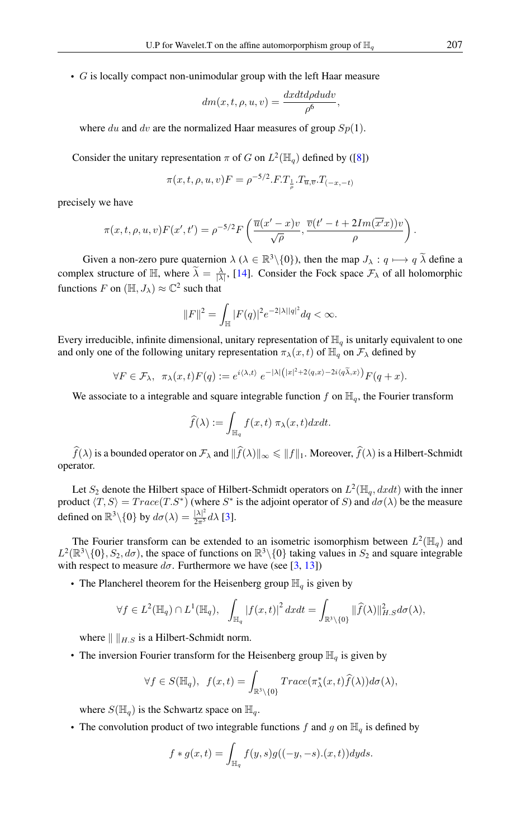• G is locally compact non-unimodular group with the left Haar measure

$$
dm(x, t, \rho, u, v) = \frac{dxdt d\rho du dv}{\rho^6},
$$

where du and dv are the normalized Haar measures of group  $Sp(1)$ .

Consider the unitary representation  $\pi$  of G on  $L^2(\mathbb{H}_q)$  defined by ([\[8\]](#page-9-9))

$$
\pi(x, t, \rho, u, v)F = \rho^{-5/2} \cdot F \cdot T_{\frac{1}{\rho}} \cdot T_{\overline{u}, \overline{v}} \cdot T_{(-x, -t)}
$$

precisely we have

$$
\pi(x, t, \rho, u, v) F(x', t') = \rho^{-5/2} F\left(\frac{\overline{u}(x'-x)v}{\sqrt{\rho}}, \frac{\overline{v}(t'-t+2Im(\overline{x'}x))v}{\rho}\right).
$$

Given a non-zero pure quaternion  $\lambda$  ( $\lambda \in \mathbb{R}^3 \setminus \{0\}$ ), then the map  $J_{\lambda} : q \mapsto q \widetilde{\lambda}$  define a complex structure of  $\mathbb{H}$ , where  $\tilde{\lambda} = \frac{\lambda}{|\lambda|}$ , [\[14\]](#page-10-0). Consider the Fock space  $\mathcal{F}_{\lambda}$  of all holomorphic functions F on  $(\mathbb{H}, J_\lambda) \approx \mathbb{C}^2$  such that

$$
||F||^2 = \int_{\mathbb{H}} |F(q)|^2 e^{-2|\lambda||q|^2} dq < \infty.
$$

Every irreducible, infinite dimensional, unitary representation of  $\mathbb{H}_q$  is unitarly equivalent to one and only one of the following unitary representation  $\pi_{\lambda}(x, t)$  of  $\mathbb{H}_q$  on  $\mathcal{F}_{\lambda}$  defined by

$$
\forall F \in \mathcal{F}_{\lambda}, \ \ \pi_{\lambda}(x,t)F(q) := e^{i\langle \lambda, t \rangle} e^{-|\lambda|(|x|^2 + 2\langle q, x \rangle - 2i\langle q\tilde{\lambda}, x \rangle)} F(q+x).
$$

We associate to a integrable and square integrable function f on  $\mathbb{H}_q$ , the Fourier transform

$$
\widehat{f}(\lambda) := \int_{\mathbb{H}_q} f(x, t) \ \pi_{\lambda}(x, t) dx dt.
$$

 $\widehat{f}(\lambda)$  is a bounded operator on  $\mathcal{F}_{\lambda}$  and  $\|\widehat{f}(\lambda)\|_{\infty} \leq \||f\|_{1}$ . Moreover,  $\widehat{f}(\lambda)$  is a Hilbert-Schmidt operator.

Let  $S_2$  denote the Hilbert space of Hilbert-Schmidt operators on  $L^2(\mathbb{H}_q, dxdt)$  with the inner product  $\langle T, S \rangle = Trace(T.S^*)$  (where  $S^*$  is the adjoint operator of S) and  $d\sigma(\lambda)$  be the measure defined on  $\mathbb{R}^3 \setminus \{0\}$  by  $d\sigma(\lambda) = \frac{|\lambda|^2}{2\pi^5} d\lambda$  [\[3\]](#page-9-10).

The Fourier transform can be extended to an isometric isomorphism between  $L^2(\mathbb{H}_q)$  and  $L^2(\mathbb{R}^3\setminus\{0\}, S_2, d\sigma)$ , the space of functions on  $\mathbb{R}^3\setminus\{0\}$  taking values in  $S_2$  and square integrable with respect to measure  $d\sigma$ . Furthermore we have (see [\[3,](#page-9-10) [13\]](#page-10-1))

• The Plancherel theorem for the Heisenberg group  $\mathbb{H}_q$  is given by

$$
\forall f \in L^{2}(\mathbb{H}_{q}) \cap L^{1}(\mathbb{H}_{q}), \quad \int_{\mathbb{H}_{q}} \left|f(x,t)\right|^{2} dxdt = \int_{\mathbb{R}^{3} \setminus \{0\}} \|\widehat{f}(\lambda)\|_{H.S}^{2} d\sigma(\lambda),
$$

where  $\| \cdot \|_{H, S}$  is a Hilbert-Schmidt norm.

• The inversion Fourier transform for the Heisenberg group  $\mathbb{H}_q$  is given by

$$
\forall f \in S(\mathbb{H}_q), \ f(x,t) = \int_{\mathbb{R}^3 \setminus \{0\}} Trace(\pi_{\lambda}^*(x,t) \widehat{f}(\lambda)) d\sigma(\lambda),
$$

where  $S(\mathbb{H}_{q})$  is the Schwartz space on  $\mathbb{H}_{q}$ .

• The convolution product of two integrable functions f and g on  $\mathbb{H}_q$  is defined by

$$
f * g(x,t) = \int_{\mathbb{H}_q} f(y,s)g((-y,-s).(x,t))dyds.
$$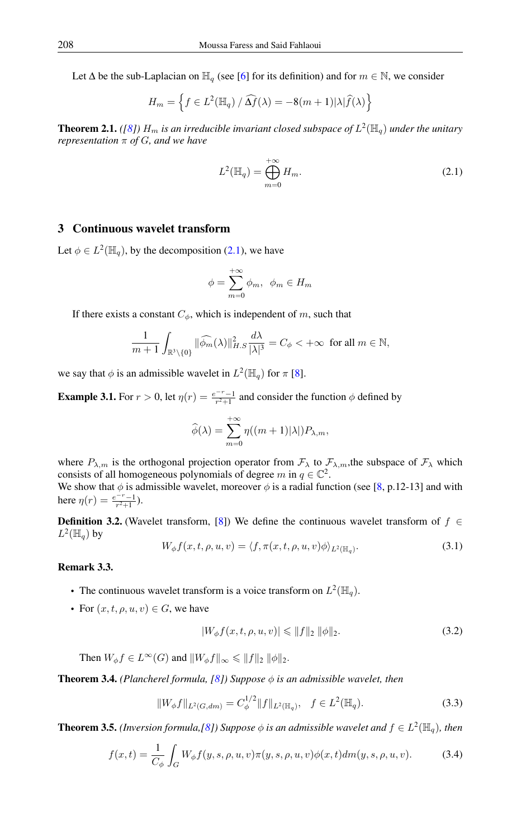Let  $\Delta$  be the sub-Laplacian on  $\mathbb{H}_q$  (see [\[6\]](#page-9-8) for its definition) and for  $m \in \mathbb{N}$ , we consider

$$
H_m = \left\{ f \in L^2(\mathbb{H}_q) / \widehat{\Delta f}(\lambda) = -8(m+1)|\lambda|\widehat{f}(\lambda)\right\}
$$

**Theorem 2.1.** ([\[8\]](#page-9-9))  $H_m$  is an irreducible invariant closed subspace of  $L^2(\mathbb{H}_q)$  under the unitary *representation* π *of* G*, and we have*

<span id="page-3-0"></span>
$$
L^{2}(\mathbb{H}_{q}) = \bigoplus_{m=0}^{+\infty} H_{m}.
$$
 (2.1)

# 3 Continuous wavelet transform

Let  $\phi \in L^2(\mathbb{H}_q)$ , by the decomposition [\(2.1\)](#page-3-0), we have

$$
\phi = \sum_{m=0}^{+\infty} \phi_m, \ \ \phi_m \in H_m
$$

If there exists a constant  $C_{\phi}$ , which is independent of m, such that

$$
\frac{1}{m+1} \int_{\mathbb{R}^3 \setminus \{0\}} \|\widehat{\phi_m}(\lambda)\|_{H.S.}^2 \frac{d\lambda}{|\lambda|^3} = C_\phi < +\infty \text{ for all } m \in \mathbb{N},
$$

we say that  $\phi$  is an admissible wavelet in  $L^2(\mathbb{H}_q)$  for  $\pi$  [\[8\]](#page-9-9).

**Example 3.1.** For  $r > 0$ , let  $\eta(r) = \frac{e^{-r}-1}{r^2+1}$  and consider the function  $\phi$  defined by

$$
\widehat{\phi}(\lambda) = \sum_{m=0}^{+\infty} \eta((m+1)|\lambda|) P_{\lambda,m},
$$

where  $P_{\lambda,m}$  is the orthogonal projection operator from  $\mathcal{F}_{\lambda}$  to  $\mathcal{F}_{\lambda,m}$ , the subspace of  $\mathcal{F}_{\lambda}$  which consists of all homogeneous polynomials of degree m in  $q \in \mathbb{C}^2$ . We show that  $\phi$  is admissible wavelet, moreover  $\phi$  is a radial function (see [\[8,](#page-9-9) p.12-13] and with here  $\eta(r) = \frac{e^{-r} - 1}{r^2 + 1}$ .

**Definition 3.2.** (Wavelet transform, [\[8\]](#page-9-9)) We define the continuous wavelet transform of  $f \in$  $L^2(\mathbb{H}_q)$  by

$$
W_{\phi}f(x,t,\rho,u,v) = \langle f, \pi(x,t,\rho,u,v)\phi \rangle_{L^2(\mathbb{H}_q)}.
$$
\n(3.1)

#### Remark 3.3.

- The continuous wavelet transform is a voice transform on  $L^2(\mathbb{H}_q)$ .
- For  $(x, t, \rho, u, v) \in G$ , we have

<span id="page-3-2"></span><span id="page-3-1"></span>
$$
|W_{\phi}f(x,t,\rho,u,v)| \leq \|f\|_2 \|\phi\|_2.
$$
 (3.2)

Then  $W_{\phi} f \in L^{\infty}(G)$  and  $||W_{\phi} f||_{\infty} \le ||f||_2 ||\phi||_2$ .

**Theorem 3.4.** *(Plancherel formula, [\[8\]](#page-9-9))* Suppose  $\phi$  *is an admissible wavelet, then* 

$$
||W_{\phi}f||_{L^{2}(G,dm)} = C_{\phi}^{1/2}||f||_{L^{2}(\mathbb{H}_{q})}, \quad f \in L^{2}(\mathbb{H}_{q}).
$$
\n(3.3)

**Theorem 3.5.** *(Inversion formula,[\[8\]](#page-9-9))* Suppose  $\phi$  *is an admissible wavelet and*  $f \in L^2(\mathbb{H}_q)$ *, then* 

$$
f(x,t) = \frac{1}{C_{\phi}} \int_{G} W_{\phi} f(y, s, \rho, u, v) \pi(y, s, \rho, u, v) \phi(x, t) dm(y, s, \rho, u, v).
$$
 (3.4)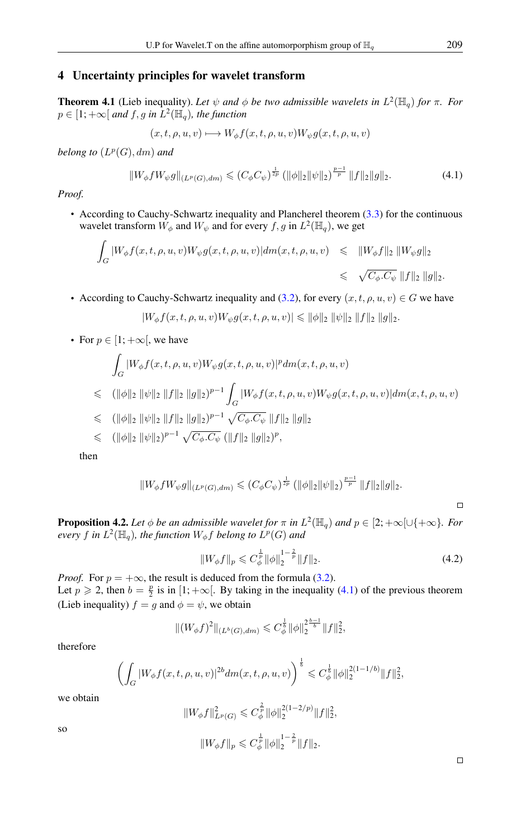#### 4 Uncertainty principles for wavelet transform

**Theorem 4.1** (Lieb inequality). Let  $\psi$  and  $\phi$  be two admissible wavelets in  $L^2(\mathbb{H}_q)$  for  $\pi$ . For  $p \in [1; +\infty[$  and  $f, g$  in  $L^2(\mathbb{H}_q)$ , the function

<span id="page-4-0"></span>
$$
(x, t, \rho, u, v) \longmapsto W_{\phi}f(x, t, \rho, u, v)W_{\psi}g(x, t, \rho, u, v)
$$

 $belong$  to  $(L^p(G), dm)$  and

$$
||W_{\phi}fW_{\psi}g||_{(L^{p}(G),dm)} \leq (C_{\phi}C_{\psi})^{\frac{1}{2p}} (||\phi||_{2}||\psi||_{2})^{\frac{p-1}{p}} ||f||_{2}||g||_{2}.
$$
 (4.1)

*Proof.*

• According to Cauchy-Schwartz inequality and Plancherel theorem [\(3.3\)](#page-3-1) for the continuous wavelet transform  $W_{\phi}$  and  $W_{\psi}$  and for every  $f, g$  in  $L^2(\mathbb{H}_q)$ , we get

$$
\int_G |W_{\phi}f(x,t,\rho,u,v)W_{\psi}g(x,t,\rho,u,v)|dm(x,t,\rho,u,v) \leq \|W_{\phi}f\|_2 \|W_{\psi}g\|_2
$$
  

$$
\leq \sqrt{C_{\phi}.C_{\psi}} \|f\|_2 \|g\|_2.
$$

• According to Cauchy-Schwartz inequality and [\(3.2\)](#page-3-2), for every  $(x, t, \rho, u, v) \in G$  we have

$$
|W_{\phi}f(x,t,\rho,u,v)W_{\psi}g(x,t,\rho,u,v)| \leq \|\phi\|_2 \|\psi\|_2 \|f\|_2 \|g\|_2.
$$

• For  $p \in [1; +\infty]$ , we have

$$
\int_{G} |W_{\phi}f(x,t,\rho,u,v)W_{\psi}g(x,t,\rho,u,v)|^{p} dm(x,t,\rho,u,v)
$$
\n
$$
\leq (||\phi||_{2} ||\psi||_{2} ||f||_{2} ||g||_{2})^{p-1} \int_{G} |W_{\phi}f(x,t,\rho,u,v)W_{\psi}g(x,t,\rho,u,v)| dm(x,t,\rho,u,v)
$$
\n
$$
\leq (||\phi||_{2} ||\psi||_{2} ||f||_{2} ||g||_{2})^{p-1} \sqrt{C_{\phi} . C_{\psi}} ||f||_{2} ||g||_{2}
$$
\n
$$
\leq (||\phi||_{2} ||\psi||_{2})^{p-1} \sqrt{C_{\phi} . C_{\psi}} (||f||_{2} ||g||_{2})^{p},
$$

then

$$
||W_{\phi}fW_{\psi}g||_{(L^{p}(G),dm)} \leq (C_{\phi}C_{\psi})^{\frac{1}{2p}} (||\phi||_{2}||\psi||_{2})^{\frac{p-1}{p}} ||f||_{2}||g||_{2}.
$$

 $\Box$ 

**Proposition 4.2.** Let  $\phi$  be an admissible wavelet for  $\pi$  in  $L^2(\mathbb{H}_q)$  and  $p \in [2; +\infty] \cup \{+\infty\}$ . For *every* f in  $L^2(\mathbb{H}_q)$ , the function  $W_\phi$  f belong to  $L^p(G)$  and

<span id="page-4-1"></span>
$$
||W_{\phi}f||_{p} \leqslant C_{\phi}^{\frac{1}{p}} ||\phi||_{2}^{1-\frac{2}{p}} ||f||_{2}.
$$
\n(4.2)

*Proof.* For  $p = +\infty$ , the result is deduced from the formula [\(3.2\)](#page-3-2). Let  $p \ge 2$ , then  $b = \frac{p}{2}$  is in  $[1; +\infty]$ . By taking in the inequality [\(4.1\)](#page-4-0) of the previous theorem (Lieb inequality)  $f = g$  and  $\phi = \psi$ , we obtain

$$
\|(W_{\phi}f)^2\|_{(L^b(G),dm)} \leqslant C_{\phi}^{\frac{1}{b}} \|\phi\|_2^{\frac{b-1}{b}} \|f\|_2^2,
$$

therefore

$$
\left(\int_G |W_{\phi}f(x,t,\rho,u,v)|^{2b} dm(x,t,\rho,u,v)\right)^{\frac{1}{b}} \leqslant C_{\phi}^{\frac{1}{b}} \|\phi\|_2^{2(1-1/b)} \|f\|_2^2,
$$

we obtain

 $||W_{\phi}f||_{L^{p}(G)}^{2} \leqslant C_{\phi}^{\frac{2}{p}} ||\phi||_{2}^{2(1-2/p)}$  $\frac{2(1-2/p)}{2} ||f||_2^2$  $||W_{\phi}f||_p \leqslant C_{\phi}^{\frac{1}{p}} ||\phi||_2^{1-\frac{2}{p}} ||f||_2.$ 

so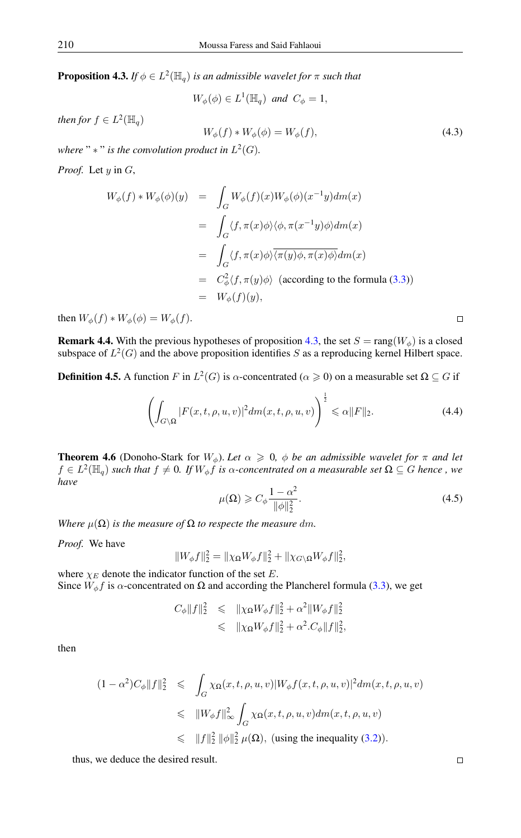<span id="page-5-0"></span>**Proposition 4.3.** *If*  $\phi \in L^2(\mathbb{H}_q)$  *is an admissible wavelet for*  $\pi$  *such that* 

<span id="page-5-1"></span>
$$
W_{\phi}(\phi) \in L^{1}(\mathbb{H}_{q}) \text{ and } C_{\phi} = 1,
$$

*then for*  $f \in L^2(\mathbb{H}_q)$ 

$$
W_{\phi}(f) * W_{\phi}(\phi) = W_{\phi}(f), \qquad (4.3)
$$

where " $*$ " is the convolution product in  $L^2(G)$ .

*Proof.* Let y in G,

$$
W_{\phi}(f) * W_{\phi}(\phi)(y) = \int_{G} W_{\phi}(f)(x)W_{\phi}(\phi)(x^{-1}y)dm(x)
$$
  
\n
$$
= \int_{G} \langle f, \pi(x)\phi \rangle \langle \phi, \pi(x^{-1}y)\phi \rangle dm(x)
$$
  
\n
$$
= \int_{G} \langle f, \pi(x)\phi \rangle \overline{\langle \pi(y)\phi, \pi(x)\phi \rangle} dm(x)
$$
  
\n
$$
= C_{\phi}^{2} \langle f, \pi(y)\phi \rangle \text{ (according to the formula (3.3))}
$$
  
\n
$$
= W_{\phi}(f)(y),
$$

then  $W_{\phi}(f) * W_{\phi}(\phi) = W_{\phi}(f)$ .

**Remark 4.4.** With the previous hypotheses of proposition [4.3,](#page-5-0) the set  $S = \text{rang}(W_{\phi})$  is a closed subspace of  $L^2(G)$  and the above proposition identifies S as a reproducing kernel Hilbert space.

**Definition 4.5.** A function F in  $L^2(G)$  is  $\alpha$ -concentrated ( $\alpha \ge 0$ ) on a measurable set  $\Omega \subseteq G$  if

$$
\left(\int_{G\setminus\Omega}|F(x,t,\rho,u,v)|^2dm(x,t,\rho,u,v)\right)^{\frac{1}{2}} \leq \alpha\|F\|_2.
$$
\n(4.4)

**Theorem 4.6** (Donoho-Stark for  $W_{\phi}$ ). Let  $\alpha \geq 0$ ,  $\phi$  be an admissible wavelet for  $\pi$  and let  $f \in L^2(\mathbb{H}_q)$  such that  $f \neq 0$ . If  $W_\phi f$  is  $\alpha$ -concentrated on a measurable set  $\Omega \subseteq G$  hence, we *have*

$$
\mu(\Omega) \geqslant C_{\phi} \frac{1 - \alpha^2}{\|\phi\|_2^2}.\tag{4.5}
$$

*Where*  $\mu(\Omega)$  *is the measure of*  $\Omega$  *to respecte the measure dm.* 

*Proof.* We have

$$
\|W_{\phi}f\|_{2}^{2} = \|\chi_{\Omega}W_{\phi}f\|_{2}^{2} + \|\chi_{G\setminus\Omega}W_{\phi}f\|_{2}^{2},
$$

where  $\chi_E$  denote the indicator function of the set E. Since  $W_{\phi} f$  is  $\alpha$ -concentrated on  $\Omega$  and according the Plancherel formula [\(3.3\)](#page-3-1), we get

$$
C_{\phi}||f||_2^2 \leq ||\chi_{\Omega}W_{\phi}f||_2^2 + \alpha^2 ||W_{\phi}f||_2^2
$$
  

$$
\leq ||\chi_{\Omega}W_{\phi}f||_2^2 + \alpha^2.C_{\phi}||f||_2^2,
$$

then

$$
(1 - \alpha^2)C_{\phi}||f||_2^2 \le \int_G \chi_{\Omega}(x, t, \rho, u, v)|W_{\phi}f(x, t, \rho, u, v)|^2 dm(x, t, \rho, u, v)
$$
  

$$
\le \|W_{\phi}f\|_{\infty}^2 \int_G \chi_{\Omega}(x, t, \rho, u, v) dm(x, t, \rho, u, v)
$$
  

$$
\le \|f\|_2^2 \|\phi\|_2^2 \mu(\Omega), \text{ (using the inequality (3.2))}.
$$

thus, we deduce the desired result.

 $\Box$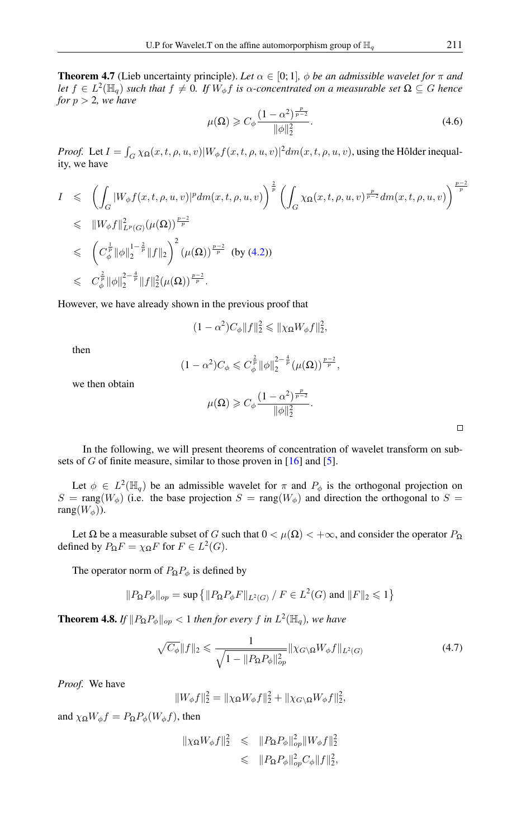**Theorem 4.7** (Lieb uncertainty principle). Let  $\alpha \in [0, 1]$ ,  $\phi$  be an admissible wavelet for  $\pi$  and *let*  $f \in L^2(\mathbb{H}_q)$  *such that*  $f \neq 0$ . If  $W_\phi f$  *is*  $\alpha$ -concentrated on a measurable set  $\Omega \subseteq G$  hence *for*  $p > 2$ *, we have* 

$$
\mu(\Omega) \geqslant C_{\phi} \frac{(1 - \alpha^2)^{\frac{p}{p-2}}}{\|\phi\|_2^2}.
$$
\n(4.6)

*Proof.* Let  $I = \int_G \chi_{\Omega}(x, t, \rho, u, v) |W_{\phi}f(x, t, \rho, u, v)|^2 dm(x, t, \rho, u, v)$ , using the Hôlder inequality, we have

$$
I \leq \left( \int_{G} |W_{\phi}f(x,t,\rho,u,v)|^{p} dm(x,t,\rho,u,v) \right)^{\frac{2}{p}} \left( \int_{G} \chi_{\Omega}(x,t,\rho,u,v)^{\frac{p}{p-2}} dm(x,t,\rho,u,v) \right)^{\frac{p-2}{p}} \n\leq \|W_{\phi}f\|_{L^{p}(G)}^{2}(\mu(\Omega))^{\frac{p-2}{p}} \n\leq (C_{\phi}^{\frac{1}{p}} \|\phi\|_{2}^{1-\frac{2}{p}} \|f\|_{2})^{2} (\mu(\Omega))^{\frac{p-2}{p}} \text{ (by (4.2))} \n\leq C_{\phi}^{\frac{2}{p}} \|\phi\|_{2}^{2-\frac{4}{p}} \|f\|_{2}^{2}(\mu(\Omega))^{\frac{p-2}{p}}.
$$

However, we have already shown in the previous proof that

$$
(1-\alpha^2)C_{\phi}||f||_2^2 \leqslant ||\chi_{\Omega}W_{\phi}f||_2^2,
$$

then

$$
(1 - \alpha^2) C_{\phi} \leqslant C_{\phi}^{\frac{2}{p}} \|\phi\|_2^{2 - \frac{4}{p}} (\mu(\Omega))^{\frac{p-2}{p}},
$$

we then obtain

$$
\mu(\Omega) \geqslant C_{\phi} \frac{\left(1 - \alpha^2\right)^{\frac{p}{p-2}}}{\|\phi\|_2^2}
$$

 $\Box$ 

In the following, we will present theorems of concentration of wavelet transform on subsets of  $G$  of finite measure, similar to those proven in  $[16]$  and  $[5]$ .

Let  $\phi \in L^2(\mathbb{H}_q)$  be an admissible wavelet for  $\pi$  and  $P_\phi$  is the orthogonal projection on  $S = \text{rang}(W_{\phi})$  (i.e. the base projection  $S = \text{rang}(W_{\phi})$  and direction the orthogonal to  $S =$ rang $(W_{\phi})$ ).

Let  $\Omega$  be a measurable subset of G such that  $0 < \mu(\Omega) < +\infty$ , and consider the operator  $P_{\Omega}$ defined by  $P_{\Omega}F = \chi_{\Omega}F$  for  $F \in L^2(G)$ .

The operator norm of  $P_{\Omega}P_{\phi}$  is defined by

$$
||P_{\Omega}P_{\phi}||_{op} = \sup \left\{ ||P_{\Omega}P_{\phi}F||_{L^2(G)} / F \in L^2(G) \text{ and } ||F||_2 \leqslant 1 \right\}
$$

**Theorem 4.8.** If  $||P_{\Omega}P_{\phi}||_{op} < 1$  then for every f in  $L^2(\mathbb{H}_q)$ , we have

$$
\sqrt{C_{\phi}}\|f\|_{2} \leq \frac{1}{\sqrt{1 - \|P_{\Omega}P_{\phi}\|_{op}^{2}}}\|\chi_{G\setminus\Omega}W_{\phi}f\|_{L^{2}(G)}\tag{4.7}
$$

.

*Proof.* We have

 $||W_{\phi}f||_2^2 = ||\chi_{\Omega}W_{\phi}f||_2^2 + ||\chi_{G\setminus\Omega}W_{\phi}f||_2^2,$ 

and  $\chi_{\Omega}W_{\phi}f = P_{\Omega}P_{\phi}(W_{\phi}f)$ , then

$$
\|\chi_{\Omega}W_{\phi}f\|_{2}^{2} \leq \|P_{\Omega}P_{\phi}\|_{op}^{2} \|W_{\phi}f\|_{2}^{2}
$$
  

$$
\leq \|P_{\Omega}P_{\phi}\|_{op}^{2} C_{\phi}\|f\|_{2}^{2},
$$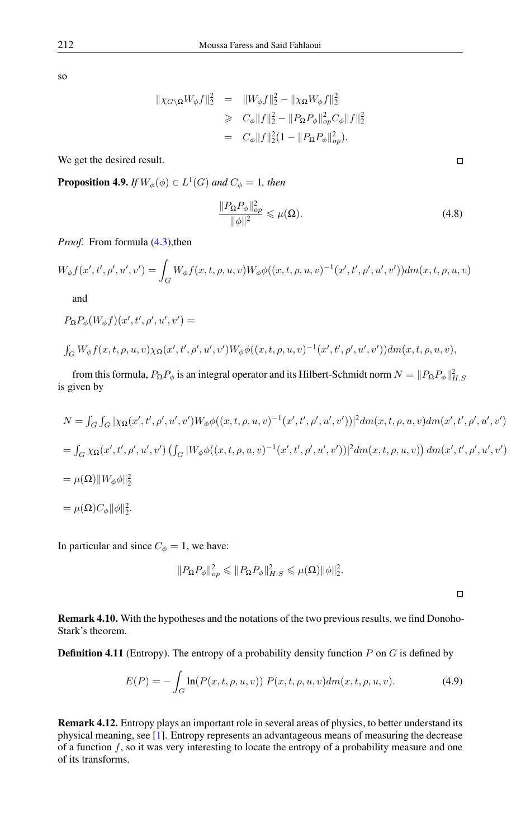so

$$
\| \chi_{G \setminus \Omega} W_{\phi} f \|_{2}^{2} = \| W_{\phi} f \|_{2}^{2} - \| \chi_{\Omega} W_{\phi} f \|_{2}^{2}
$$
  
\n
$$
\geq C_{\phi} \| f \|_{2}^{2} - \| P_{\Omega} P_{\phi} \|_{op}^{2} C_{\phi} \| f \|_{2}^{2}
$$
  
\n
$$
= C_{\phi} \| f \|_{2}^{2} (1 - \| P_{\Omega} P_{\phi} \|_{op}^{2}).
$$

We get the desired result.

**Proposition 4.9.** If  $W_{\phi}(\phi) \in L^1(G)$  and  $C_{\phi} = 1$ , then

$$
\frac{\|P_{\Omega}P_{\phi}\|_{op}^2}{\|\phi\|^2} \leqslant \mu(\Omega). \tag{4.8}
$$

*Proof.* From formula [\(4.3\)](#page-5-1), then

$$
W_{\phi}f(x',t',\rho',u',v') = \int_{G} W_{\phi}f(x,t,\rho,u,v)W_{\phi}\phi((x,t,\rho,u,v)^{-1}(x',t',\rho',u',v'))dm(x,t,\rho,u,v)
$$

and

$$
P_{\mathbf{\Omega}}P_{\phi}(W_{\phi}f)(x',t',\rho',u',v') =
$$

$$
\int_G W_{\phi} f(x, t, \rho, u, v) \chi_{\Omega}(x', t', \rho', u', v') W_{\phi} \phi((x, t, \rho, u, v)^{-1}(x', t', \rho', u', v')) dm(x, t, \rho, u, v),
$$

from this formula,  $P_\Omega P_\phi$  is an integral operator and its Hilbert-Schmidt norm  $N = \|P_\Omega P_\phi\|_{H.S.}^2$ is given by

$$
N = \int_G \int_G |\chi_{\Omega}(x', t', \rho', u', v') W_{\phi} \phi((x, t, \rho, u, v)^{-1}(x', t', \rho', u', v'))|^2 dm(x, t, \rho, u, v) dm(x', t', \rho', u', v')
$$
  
= 
$$
\int_G \chi_{\Omega}(x', t', \rho', u', v') \left( \int_G |W_{\phi} \phi((x, t, \rho, u, v)^{-1}(x', t', \rho', u', v'))|^2 dm(x, t, \rho, u, v) \right) dm(x', t', \rho', u', v')
$$
  
= 
$$
\mu(\Omega) ||W_{\phi} \phi||_2^2
$$
  
= 
$$
\mu(\Omega) C_{\phi} ||\phi||_2^2.
$$

In particular and since  $C_{\phi} = 1$ , we have:

$$
||P_{\Omega}P_{\phi}||_{op}^2 \leq ||P_{\Omega}P_{\phi}||_{H.S}^2 \leq \mu(\Omega) ||\phi||_2^2.
$$

 $\Box$ 

Remark 4.10. With the hypotheses and the notations of the two previous results, we find Donoho-Stark's theorem.

**Definition 4.11** (Entropy). The entropy of a probability density function  $P$  on  $G$  is defined by

$$
E(P) = -\int_{G} \ln(P(x, t, \rho, u, v)) P(x, t, \rho, u, v) dm(x, t, \rho, u, v).
$$
 (4.9)

Remark 4.12. Entropy plays an important role in several areas of physics, to better understand its physical meaning, see [\[1\]](#page-9-12). Entropy represents an advantageous means of measuring the decrease of a function  $f$ , so it was very interesting to locate the entropy of a probability measure and one of its transforms.

 $\Box$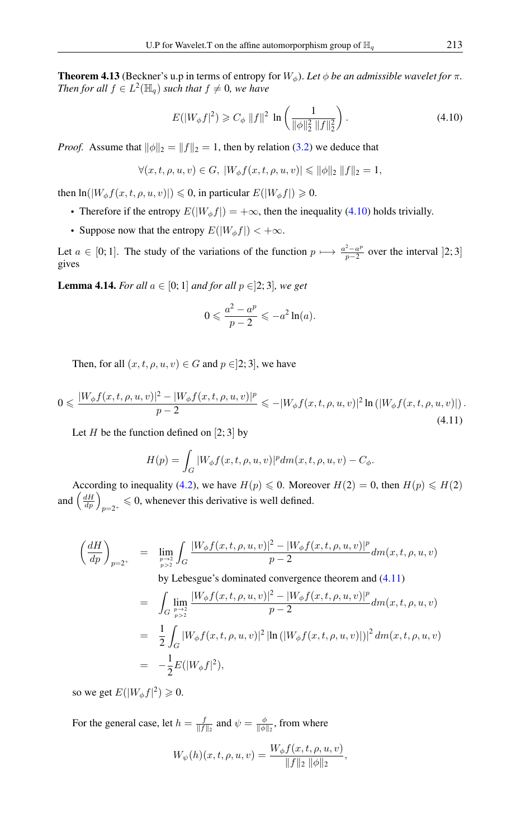**Theorem 4.13** (Beckner's u.p in terms of entropy for  $W_{\phi}$ ). Let  $\phi$  be an admissible wavelet for  $\pi$ . *Then for all*  $f \in L^2(\mathbb{H}_q)$  *such that*  $f \neq 0$ *, we have* 

<span id="page-8-0"></span>
$$
E(|W_{\phi}f|^{2}) \geq C_{\phi} \|f\|^{2} \ln \left(\frac{1}{\|\phi\|_{2}^{2} \|f\|_{2}^{2}}\right).
$$
 (4.10)

*Proof.* Assume that  $\|\phi\|_2 = \|f\|_2 = 1$ , then by relation [\(3.2\)](#page-3-2) we deduce that

$$
\forall (x, t, \rho, u, v) \in G, \ |W_{\phi}f(x, t, \rho, u, v)| \leq \|\phi\|_2 \|f\|_2 = 1,
$$

then  $\ln(|W_{\phi}f(x, t, \rho, u, v)|) \leq 0$ , in particular  $E(|W_{\phi}f|) \geq 0$ .

- Therefore if the entropy  $E(|W_{\phi}f|) = +\infty$ , then the inequality [\(4.10\)](#page-8-0) holds trivially.
- Suppose now that the entropy  $E(|W_{\phi}f|) < +\infty$ .

Let  $a \in [0, 1]$ . The study of the variations of the function  $p \mapsto \frac{a^2 - a^p}{p-2}$  $\frac{z-a^p}{p-2}$  over the interval [2; 3] gives

**Lemma 4.14.** *For all*  $a \in [0, 1]$  *and for all*  $p \in [2, 3]$ *, we get* 

$$
0 \leqslant \frac{a^2 - a^p}{p - 2} \leqslant -a^2 \ln(a).
$$

<span id="page-8-1"></span>Then, for all  $(x, t, \rho, u, v) \in G$  and  $p \in ]2, 3]$ , we have

$$
0 \leq \frac{|W_{\phi}f(x,t,\rho,u,v)|^2 - |W_{\phi}f(x,t,\rho,u,v)|^p}{p-2} \leq -|W_{\phi}f(x,t,\rho,u,v)|^2 \ln\left(|W_{\phi}f(x,t,\rho,u,v)|\right).
$$
\n(4.11)

Let *H* be the function defined on [2; 3] by

$$
H(p) = \int_G |W_{\phi}f(x,t,\rho,u,v)|^p dm(x,t,\rho,u,v) - C_{\phi}.
$$

According to inequality [\(4.2\)](#page-4-1), we have  $H(p) \le 0$ . Moreover  $H(2) = 0$ , then  $H(p) \le H(2)$ and  $\left(\frac{dH}{dp}\right)_{p=2^+} \leq 0$ , whenever this derivative is well defined.

$$
\left(\frac{dH}{dp}\right)_{p=2^+}\quad =\quad \lim_{p\to 2\atop p>2}\int_G\frac{|W_\phi f(x,t,\rho,u,v)|^2-|W_\phi f(x,t,\rho,u,v)|^p}{p-2}dm(x,t,\rho,u,v)
$$

by Lebesgue's dominated convergence theorem and [\(4.11\)](#page-8-1)

$$
= \int_{G} \lim_{\substack{p \to 2 \\ p>2}} \frac{|W_{\phi}f(x, t, \rho, u, v)|^2 - |W_{\phi}f(x, t, \rho, u, v)|^p}{p - 2} dm(x, t, \rho, u, v)
$$
  

$$
= \frac{1}{2} \int_{G} |W_{\phi}f(x, t, \rho, u, v)|^2 |\ln (|W_{\phi}f(x, t, \rho, u, v)|)|^2 dm(x, t, \rho, u, v)
$$
  

$$
= -\frac{1}{2} E(|W_{\phi}f|^2),
$$

so we get  $E(|W_{\phi}f|^2) \geq 0$ .

For the general case, let  $h = \frac{f}{\|f\|_2}$  and  $\psi = \frac{\phi}{\|\phi\|_2}$ , from where

$$
W_{\psi}(h)(x,t,\rho,u,v) = \frac{W_{\phi}f(x,t,\rho,u,v)}{\|f\|_2 \|\phi\|_2},
$$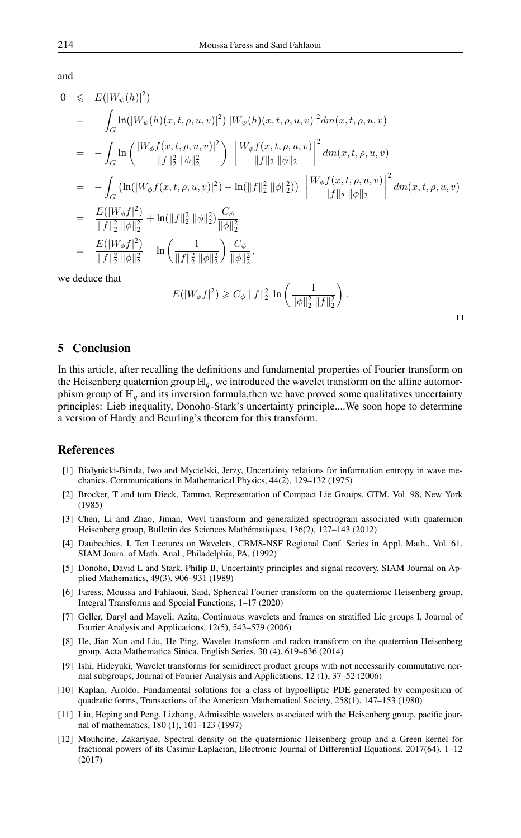and

$$
0 \leq E(|W_{\psi}(h)|^{2})
$$
  
\n
$$
= -\int_{G} \ln(|W_{\psi}(h)(x, t, \rho, u, v)|^{2}) |W_{\psi}(h)(x, t, \rho, u, v)|^{2} dm(x, t, \rho, u, v)
$$
  
\n
$$
= -\int_{G} \ln\left(\frac{|W_{\phi}f(x, t, \rho, u, v)|^{2}}{\|f\|_{2}^{2} \|\phi\|_{2}^{2}}\right) \left|\frac{W_{\phi}f(x, t, \rho, u, v)}{\|f\|_{2} \|\phi\|_{2}}\right|^{2} dm(x, t, \rho, u, v)
$$
  
\n
$$
= -\int_{G} (\ln(|W_{\phi}f(x, t, \rho, u, v)|^{2}) - \ln(|f||_{2}^{2} \|\phi\|_{2}^{2})) \left|\frac{W_{\phi}f(x, t, \rho, u, v)}{\|f\|_{2} \|\phi\|_{2}}\right|^{2} dm(x, t, \rho, u, v)
$$
  
\n
$$
= \frac{E(|W_{\phi}f|^{2})}{\|f\|_{2}^{2} \|\phi\|_{2}^{2}} + \ln(|f||_{2}^{2} \|\phi\|_{2}^{2}) \frac{C_{\phi}}{\|\phi\|_{2}^{2}}
$$
  
\n
$$
= \frac{E(|W_{\phi}f|^{2})}{\|f\|_{2}^{2} \|\phi\|_{2}^{2}} - \ln\left(\frac{1}{\|f\|_{2}^{2} \|\phi\|_{2}^{2}}\right) \frac{C_{\phi}}{\|\phi\|_{2}^{2}},
$$
  
\nwe deduce that

$$
E(|W_{\phi}f|^2) \geqslant C_{\phi} \|f\|_2^2 \ln \left( \frac{1}{\|\phi\|_2^2 \|f\|_2^2} \right).
$$

# 5 Conclusion

In this article, after recalling the definitions and fundamental properties of Fourier transform on the Heisenberg quaternion group  $\mathbb{H}_q$ , we introduced the wavelet transform on the affine automorphism group of  $\mathbb{H}_q$  and its inversion formula, then we have proved some qualitatives uncertainty principles: Lieb inequality, Donoho-Stark's uncertainty principle....We soon hope to determine a version of Hardy and Beurling's theorem for this transform.

## <span id="page-9-0"></span>References

- <span id="page-9-12"></span>[1] Białynicki-Birula, Iwo and Mycielski, Jerzy, Uncertainty relations for information entropy in wave mechanics, Communications in Mathematical Physics, 44(2), 129–132 (1975)
- <span id="page-9-7"></span>[2] Brocker, T and tom Dieck, Tammo, Representation of Compact Lie Groups, GTM, Vol. 98, New York (1985)
- <span id="page-9-10"></span>[3] Chen, Li and Zhao, Jiman, Weyl transform and generalized spectrogram associated with quaternion Heisenberg group, Bulletin des Sciences Mathématiques, 136(2), 127–143 (2012)
- <span id="page-9-3"></span>[4] Daubechies, I, Ten Lectures on Wavelets, CBMS-NSF Regional Conf. Series in Appl. Math., Vol. 61, SIAM Journ. of Math. Anal., Philadelphia, PA, (1992)
- <span id="page-9-11"></span>[5] Donoho, David L and Stark, Philip B, Uncertainty principles and signal recovery, SIAM Journal on Applied Mathematics, 49(3), 906–931 (1989)
- <span id="page-9-8"></span>[6] Faress, Moussa and Fahlaoui, Said, Spherical Fourier transform on the quaternionic Heisenberg group, Integral Transforms and Special Functions, 1–17 (2020)
- <span id="page-9-4"></span>[7] Geller, Daryl and Mayeli, Azita, Continuous wavelets and frames on stratified Lie groups I, Journal of Fourier Analysis and Applications, 12(5), 543–579 (2006)
- <span id="page-9-9"></span>[8] He, Jian Xun and Liu, He Ping, Wavelet transform and radon transform on the quaternion Heisenberg group, Acta Mathematica Sinica, English Series, 30 (4), 619–636 (2014)
- <span id="page-9-5"></span>[9] Ishi, Hideyuki, Wavelet transforms for semidirect product groups with not necessarily commutative normal subgroups, Journal of Fourier Analysis and Applications, 12 (1), 37–52 (2006)
- <span id="page-9-1"></span>[10] Kaplan, Aroldo, Fundamental solutions for a class of hypoelliptic PDE generated by composition of quadratic forms, Transactions of the American Mathematical Society, 258(1), 147–153 (1980)
- <span id="page-9-6"></span>[11] Liu, Heping and Peng, Lizhong, Admissible wavelets associated with the Heisenberg group, pacific journal of mathematics, 180 (1), 101–123 (1997)
- <span id="page-9-2"></span>[12] Mouhcine, Zakariyae, Spectral density on the quaternionic Heisenberg group and a Green kernel for fractional powers of its Casimir-Laplacian, Electronic Journal of Differential Equations, 2017(64), 1–12 (2017)